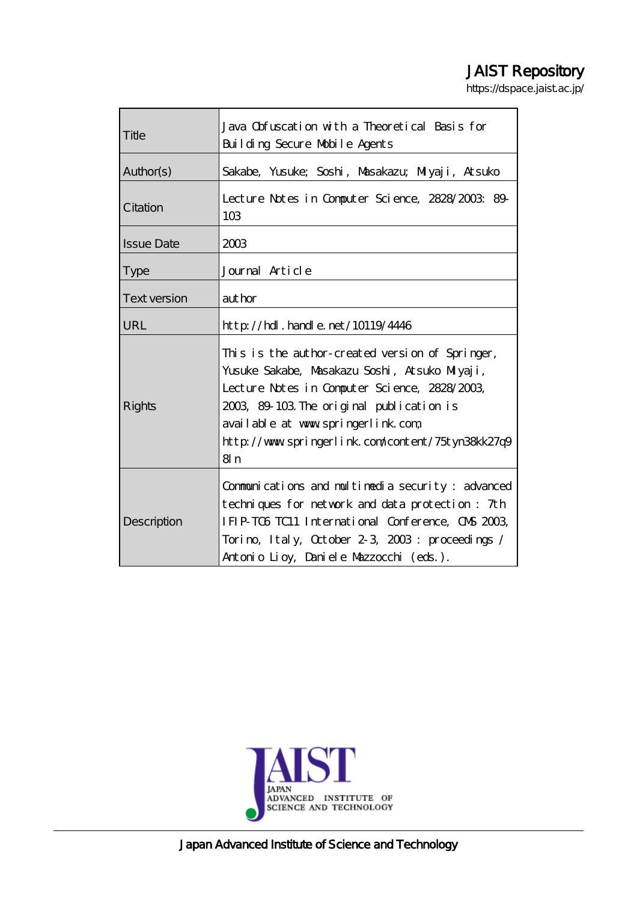# JAIST Repository

https://dspace.jaist.ac.jp/

| Title               | Java Obfuscation with a Theoretical Basis for<br>Building Secure Mobile Agents                                                                                                                                                                                                                  |  |  |  |  |  |
|---------------------|-------------------------------------------------------------------------------------------------------------------------------------------------------------------------------------------------------------------------------------------------------------------------------------------------|--|--|--|--|--|
| Author(s)           |                                                                                                                                                                                                                                                                                                 |  |  |  |  |  |
|                     | Sakabe, Yusuke; Soshi, Musakazu; Miyaji, Atsuko                                                                                                                                                                                                                                                 |  |  |  |  |  |
| Citation            | Lecture Notes in Computer Science, 2828/2003: 89-<br>10 <sub>3</sub>                                                                                                                                                                                                                            |  |  |  |  |  |
| <b>Issue Date</b>   | 2003                                                                                                                                                                                                                                                                                            |  |  |  |  |  |
| <b>Type</b>         | Journal Article                                                                                                                                                                                                                                                                                 |  |  |  |  |  |
| <b>Text version</b> | author                                                                                                                                                                                                                                                                                          |  |  |  |  |  |
| URL                 | $http$ // $rdl$ . handle. net/10119/4446                                                                                                                                                                                                                                                        |  |  |  |  |  |
| <b>Rights</b>       | This is the author-created version of Springer,<br>Yusuke Sakabe, Masakazu Soshi, Atsuko Miyaji,<br>Lecture Notes in Computer Science, 2828/2003,<br>2003, 89–103. The original publication is<br>available at www.springerlink.com,<br>http://www.springerlink.com/content/75tyn38kk27q9<br>8n |  |  |  |  |  |
| Description         | Communications and multimedia security: advanced<br>techniques for network and data protection: 7th<br>IFIP-TOG TC11 International Conference, CNS 2003,<br>Torino, Italy, October 2-3, 2003: proceedings /<br>Antonio Lioy, Daniele Mazzocchi (eds.).                                          |  |  |  |  |  |



Japan Advanced Institute of Science and Technology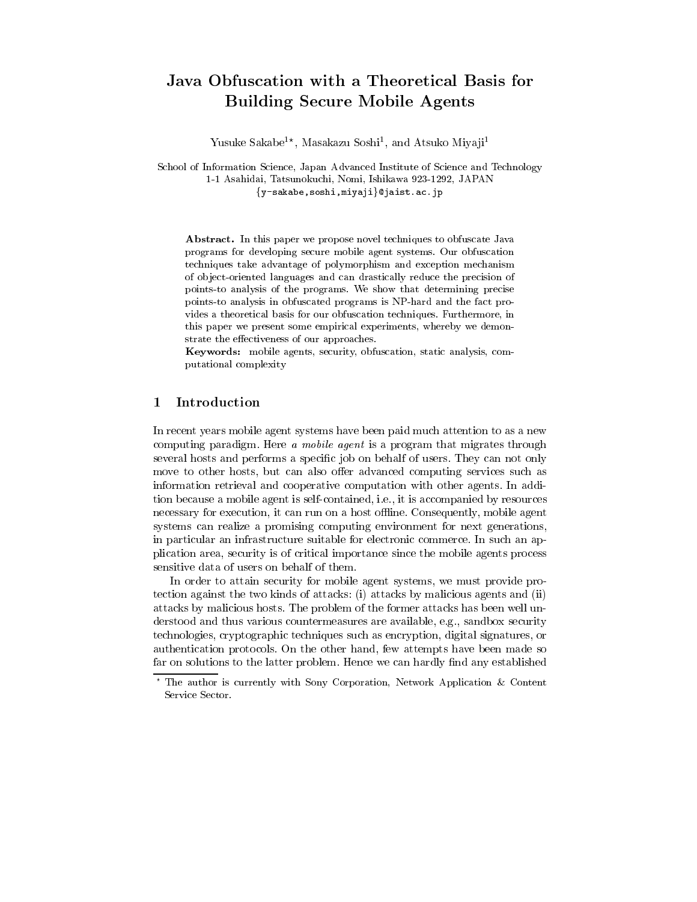## Java Obfuscation with a Theoretical Basis for **Building Secure Mobile Agents**

Yusuke Sakabe<sup>1\*</sup>, Masakazu Soshi<sup>1</sup>, and Atsuko Miyaji<sup>1</sup>

School of Information Science, Japan Advanced Institute of Science and Technology 1-1 Asahidai, Tatsunokuchi, Nomi, Ishikawa 923-1292, JAPAN {y-sakabe, soshi, miyaji}@jaist.ac.jp

**Abstract.** In this paper we propose novel techniques to obfuscate Java programs for developing secure mobile agent systems. Our obfuscation techniques take advantage of polymorphism and exception mechanism of object-oriented languages and can drastically reduce the precision of points to analysis of the programs. We show that determining precise points to analysis in obfuscated programs is NP-hard and the fact provides a theoretical basis for our obfuscation techniques. Furthermore, in this paper we present some empirical experiments, whereby we demonstrate the effectiveness of our approaches.

Keywords: mobile agents, security, obfuscation, static analysis, computational complexity

#### Introduction 1

In recent years mobile agent systems have been paid much attention to as a new computing paradigm. Here a mobile agent is a program that migrates through several hosts and performs a specific job on behalf of users. They can not only move to other hosts, but can also offer advanced computing services such as information retrieval and cooperative computation with other agents. In addition because a mobile agent is self-contained, i.e., it is accompanied by resources necessary for execution, it can run on a host offline. Consequently, mobile agent systems can realize a promising computing environment for next generations, in particular an infrastructure suitable for electronic commerce. In such an application area, security is of critical importance since the mobile agents process sensitive data of users on behalf of them.

In order to attain security for mobile agent systems, we must provide protection against the two kinds of attacks: (i) attacks by malicious agents and (ii) attacks by malicious hosts. The problem of the former attacks has been well understood and thus various countermeasures are available, e.g., sandbox security technologies, cryptographic techniques such as encryption, digital signatures, or authentication protocols. On the other hand, few attempts have been made so far on solutions to the latter problem. Hence we can hardly find any established

The author is currently with Sony Corporation, Network Application & Content Service Sector.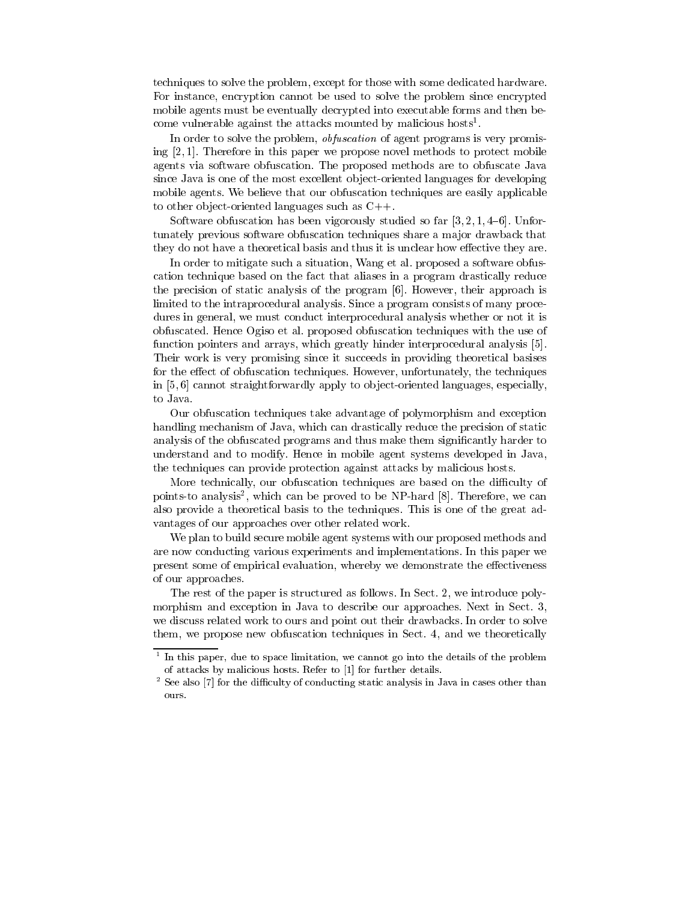techniques to solve the problem, except for those with some dedicated hardware. For instance, encryption cannot be used to solve the problem since encrypted mobile agents must be eventually decrypted into executable forms and then become vulnerable against the attacks mounted by malicious hosts<sup>1</sup>.

In order to solve the problem, *obfuscation* of agent programs is very promising  $[2,1]$ . Therefore in this paper we propose novel methods to protect mobile agents via software obfuscation. The proposed methods are to obfuscate Java since Java is one of the most excellent object-oriented languages for developing mobile agents. We believe that our obfuscation techniques are easily applicable to other object-oriented languages such as  $C_{++}$ .

Software obfuscation has been vigorously studied so far  $[3, 2, 1, 4-6]$ . Unfortunately previous software obfuscation techniques share a major drawback that they do not have a theoretical basis and thus it is unclear how effective they are.

In order to mitigate such a situation, Wang et al. proposed a software obfuscation technique based on the fact that aliases in a program drastically reduce the precision of static analysis of the program [6]. However, their approach is limited to the intraprocedural analysis. Since a program consists of many procedures in general, we must conduct interprocedural analysis whether or not it is obfuscated. Hence Ogiso et al. proposed obfuscation techniques with the use of function pointers and arrays, which greatly hinder interprocedural analysis [5]. Their work is very promising since it succeeds in providing theoretical basises for the effect of obfuscation techniques. However, unfortunately, the techniques in [5,6] cannot straightforwardly apply to object-oriented languages, especially, to Java.

Our obfuscation techniques take advantage of polymorphism and exception handling mechanism of Java, which can drastically reduce the precision of static analysis of the obfuscated programs and thus make them significantly harder to understand and to modify. Hence in mobile agent systems developed in Java, the techniques can provide protection against attacks by malicious hosts.

More technically, our obfuscation techniques are based on the difficulty of points-to analysis<sup>2</sup>, which can be proved to be NP-hard [8]. Therefore, we can also provide a theoretical basis to the techniques. This is one of the great advantages of our approaches over other related work.

We plan to build secure mobile agent systems with our proposed methods and are now conducting various experiments and implementations. In this paper we present some of empirical evaluation, whereby we demonstrate the effectiveness of our approaches.

The rest of the paper is structured as follows. In Sect. 2, we introduce polymorphism and exception in Java to describe our approaches. Next in Sect. 3, we discuss related work to ours and point out their drawbacks. In order to solve them, we propose new obfuscation techniques in Sect. 4, and we theoretically

 $1$  In this paper, due to space limitation, we cannot go into the details of the problem of attacks by malicious hosts. Refer to [1] for further details.

 $2$  See also [7] for the difficulty of conducting static analysis in Java in cases other than ours.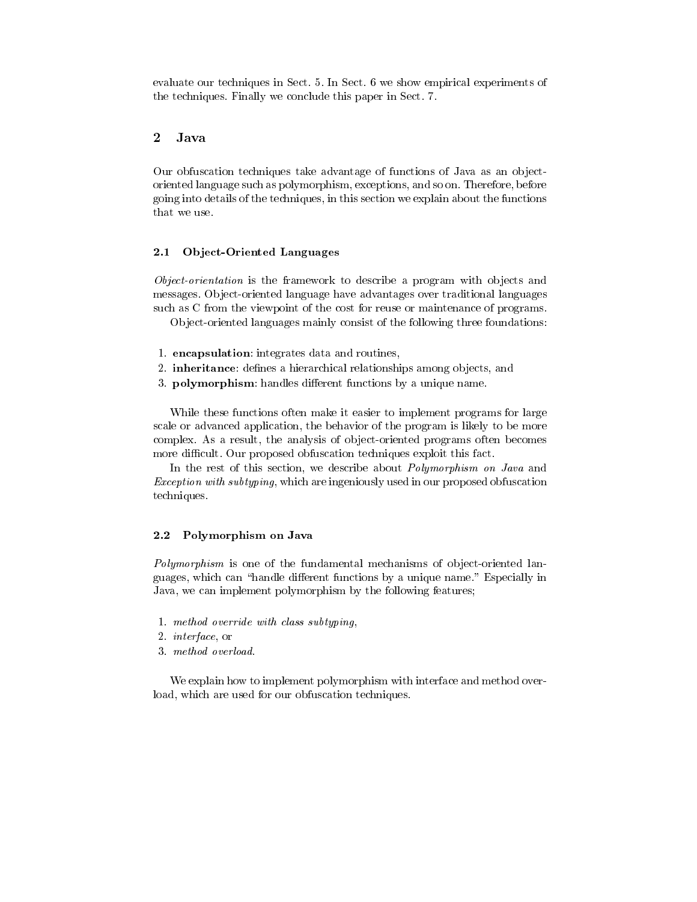evaluate our techniques in Sect. 5. In Sect. 6 we show empirical experiments of the techniques. Finally we conclude this paper in Sect. 7.

#### $\overline{2}$ Java

Our obfuscation techniques take advantage of functions of Java as an objectoriented language such as polymorphism, exceptions, and so on. Therefore, before going into details of the techniques, in this section we explain about the functions that we use.

#### $2.1$ **Object-Oriented Languages**

Object-orientation is the framework to describe a program with objects and messages. Object-oriented language have advantages over traditional languages such as C from the viewpoint of the cost for reuse or maintenance of programs.

Object-oriented languages mainly consist of the following three foundations:

- 1. encapsulation: integrates data and routines,
- 2. inheritance: defines a hierarchical relationships among objects, and
- 3. polymorphism: handles different functions by a unique name.

While these functions often make it easier to implement programs for large scale or advanced application, the behavior of the program is likely to be more complex. As a result, the analysis of object-oriented programs often becomes more difficult. Our proposed obfuscation techniques exploit this fact.

In the rest of this section, we describe about *Polymorphism on Java* and *Exception with subtyping*, which are ingeniously used in our proposed obfuscation techniques.

#### $2.2$ Polymorphism on Java

Polymorphism is one of the fundamental mechanisms of object-oriented languages, which can "handle different functions by a unique name." Especially in Java, we can implement polymorphism by the following features;

- 1. method override with class subtyping,
- 2. *interface*, or
- 3. method overload.

We explain how to implement polymorphism with interface and method overload, which are used for our obfuscation techniques.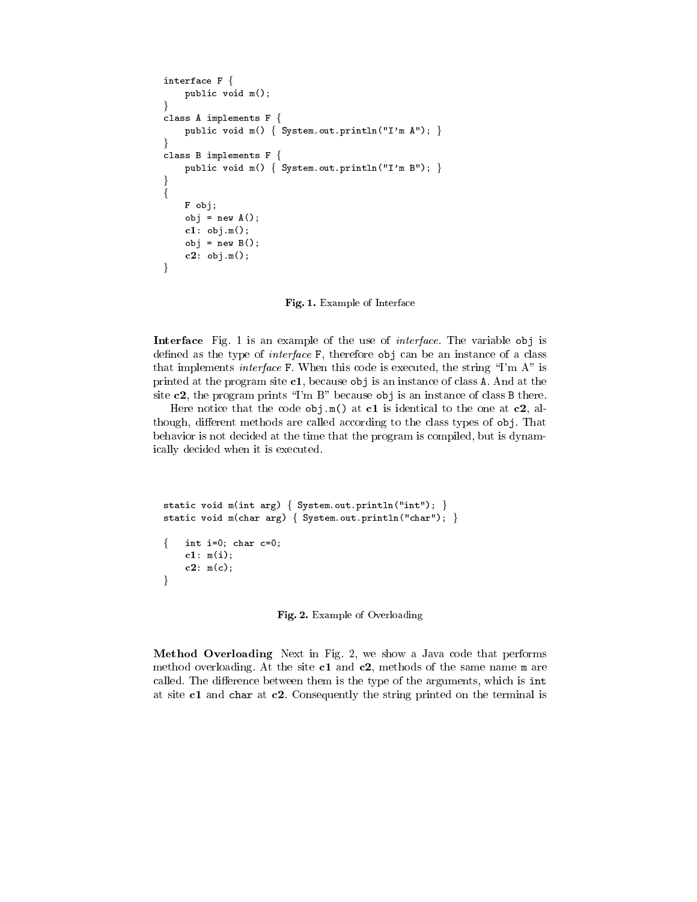```
interface F \{public void m();
J
class A implements F {
    public void m() { System.out.println("I'm A"); }
-1
class B implements F {
    public void m() { System.out.println("I'm B"); }
}
\{F obj;
    obj = new A();
    cl: obj.m();obj = new B();
    c2: obj.m();
\mathcal{E}
```
Fig. 1. Example of Interface

Interface Fig. 1 is an example of the use of *interface*. The variable obj is defined as the type of *interface*  $F$ , therefore  $obj$  can be an instance of a class that implements *interface* F. When this code is executed, the string "I'm A" is printed at the program site  $c1$ , because obj is an instance of class A. And at the site  $c2$ , the program prints "I'm B" because obj is an instance of class B there.

Here notice that the code  $obj.m()$  at c1 is identical to the one at c2, although, different methods are called according to the class types of obj. That behavior is not decided at the time that the program is compiled, but is dynamically decided when it is executed.

```
static void m(int arg) \{ System.out.println("int"); \}static void m(char arg) { System.out.println("char"); }
   int i=0; char c=0;
ſ
    c1: m(i);c2: m(c);ł
```
Fig. 2. Example of Overloading

Method Overloading Next in Fig. 2, we show a Java code that performs method overloading. At the site  $c1$  and  $c2$ , methods of the same name m are called. The difference between them is the type of the arguments, which is int at site  $c1$  and char at  $c2$ . Consequently the string printed on the terminal is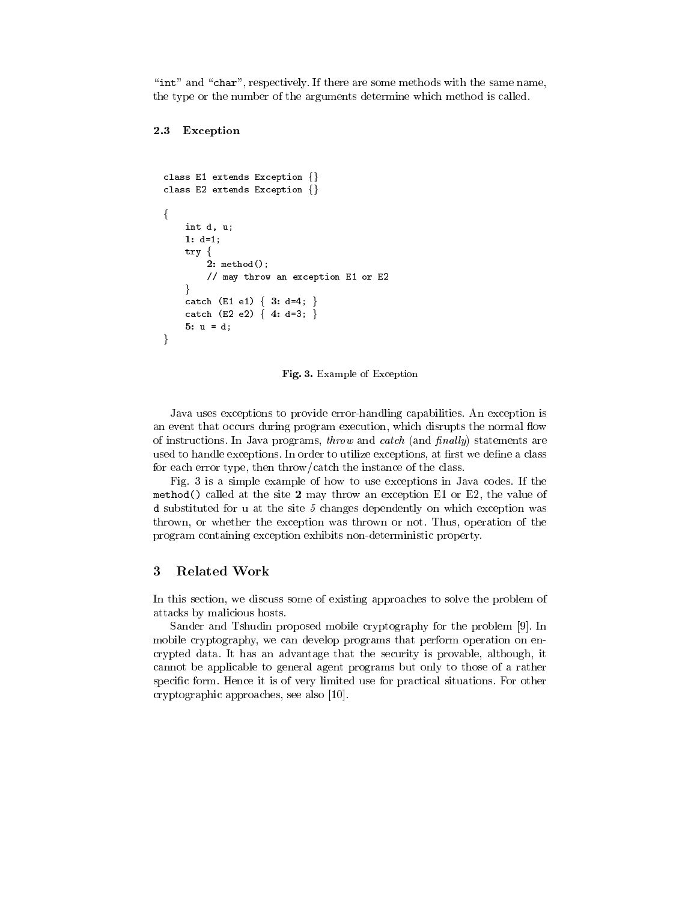"int" and "char", respectively. If there are some methods with the same name, the type or the number of the arguments determine which method is called.

#### $2.3$ Exception

```
class E1 extends Exception \{\}class E2 extends Exception \{\}\{int d, u;
    1: d=1;
    try \{2: method();
        // may throw an exception E1 or E2
    \mathcal{E}catch (E1 e1) { 3: d=4; }
    catch (E2 e2) \{4: d=3; \}5: u = d;ł
```
Fig. 3. Example of Exception

Java uses exceptions to provide error-handling capabilities. An exception is an event that occurs during program execution, which disrupts the normal flow of instructions. In Java programs, *throw* and *catch* (and *finally*) statements are used to handle exceptions. In order to utilize exceptions, at first we define a class for each error type, then throw/catch the instance of the class.

Fig. 3 is a simple example of how to use exceptions in Java codes. If the method () called at the site 2 may throw an exception E1 or E2, the value of d substituted for u at the site  $5$  changes dependently on which exception was thrown, or whether the exception was thrown or not. Thus, operation of the program containing exception exhibits non-deterministic property.

#### 3 **Related Work**

In this section, we discuss some of existing approaches to solve the problem of attacks by malicious hosts.

Sander and Tshudin proposed mobile cryptography for the problem [9]. In mobile cryptography, we can develop programs that perform operation on encrypted data. It has an advantage that the security is provable, although, it cannot be applicable to general agent programs but only to those of a rather specific form. Hence it is of very limited use for practical situations. For other cryptographic approaches, see also [10].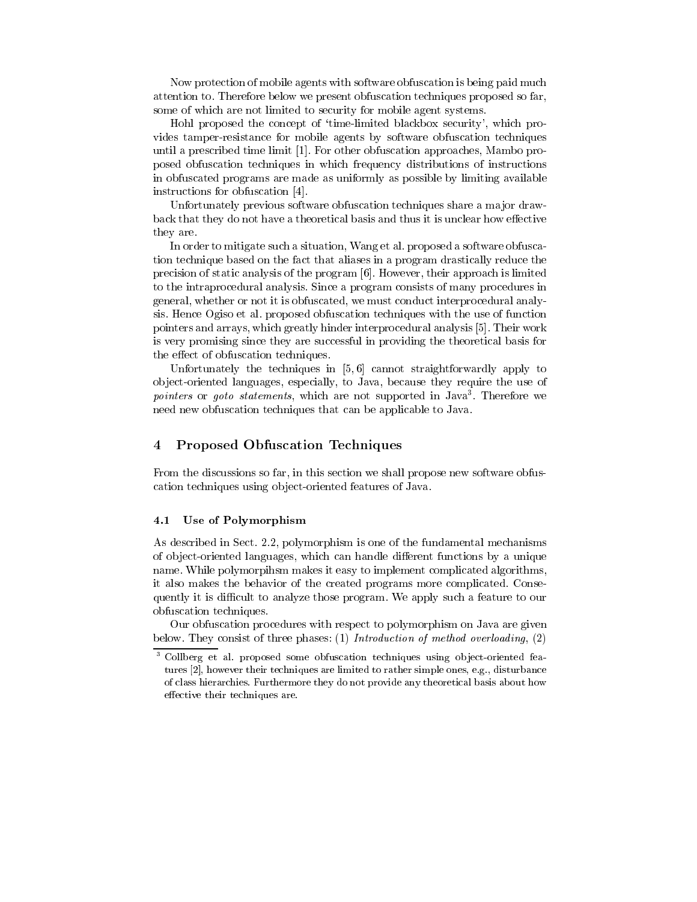Now protection of mobile agents with software obfuscation is being paid much attention to. Therefore below we present obfuscation techniques proposed so far, some of which are not limited to security for mobile agent systems.

Hohl proposed the concept of 'time-limited blackbox security', which provides tamper-resistance for mobile agents by software obfuscation techniques until a prescribed time limit [1]. For other obfuscation approaches, Mambo proposed obfuscation techniques in which frequency distributions of instructions in obfuscated programs are made as uniformly as possible by limiting available instructions for obfuscation [4].

Unfortunately previous software obfuscation techniques share a major drawback that they do not have a theoretical basis and thus it is unclear how effective they are.

In order to mitigate such a situation, Wang et al. proposed a software obfuscation technique based on the fact that aliases in a program drastically reduce the precision of static analysis of the program [6]. However, their approach is limited to the intraprocedural analysis. Since a program consists of many procedures in general, whether or not it is obfuscated, we must conduct interprocedural analysis. Hence Ogiso et al. proposed obfuscation techniques with the use of function pointers and arrays, which greatly hinder interprocedural analysis [5]. Their work is very promising since they are successful in providing the theoretical basis for the effect of obfuscation techniques.

Unfortunately the techniques in  $[5,6]$  cannot straightforwardly apply to object-oriented languages, especially, to Java, because they require the use of *pointers* or *goto statements*, which are not supported in Java<sup>3</sup>. Therefore we need new obfuscation techniques that can be applicable to Java.

#### **Proposed Obfuscation Techniques**  $\overline{4}$

From the discussions so far, in this section we shall propose new software obfuscation techniques using object-oriented features of Java.

#### 4.1 Use of Polymorphism

As described in Sect. 2.2, polymorphism is one of the fundamental mechanisms of object-oriented languages, which can handle different functions by a unique name. While polymorpihsm makes it easy to implement complicated algorithms, it also makes the behavior of the created programs more complicated. Consequently it is difficult to analyze those program. We apply such a feature to our obfuscation techniques.

Our obfuscation procedures with respect to polymorphism on Java are given below. They consist of three phases: (1) Introduction of method overloading, (2)

 $\overline{\mathbf{3}}$ Collberg et al. proposed some obfuscation techniques using object-oriented features [2], however their techniques are limited to rather simple ones, e.g., disturbance of class hierarchies. Furthermore they do not provide any theoretical basis about how effective their techniques are.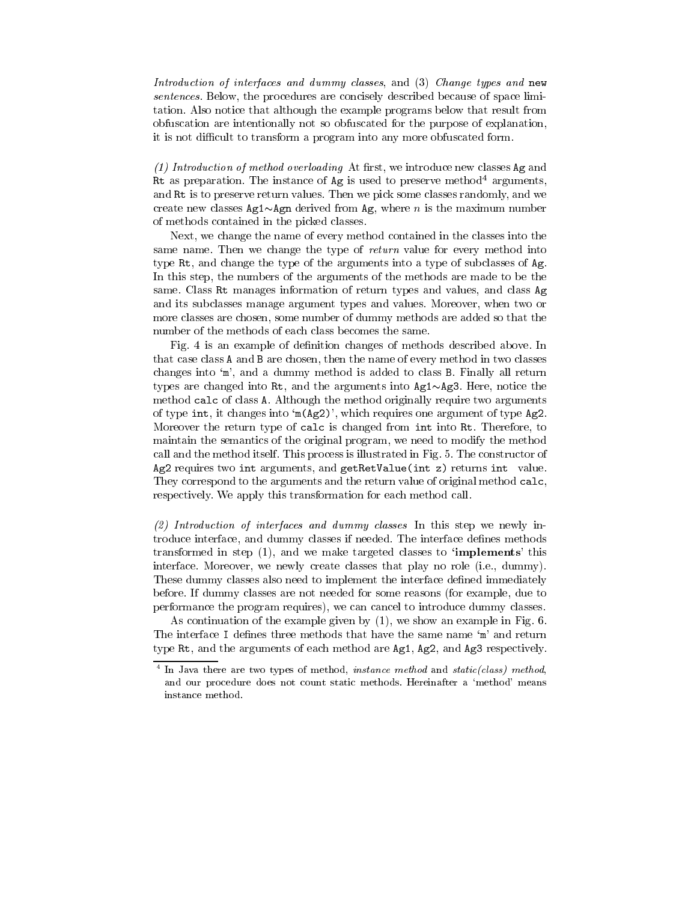Introduction of interfaces and dummy classes, and (3) Change types and new sentences. Below, the procedures are concisely described because of space limitation. Also notice that although the example programs below that result from obfuscation are intentionally not so obfuscated for the purpose of explanation, it is not difficult to transform a program into any more obfuscated form.

 $(1)$  Introduction of method overloading At first, we introduce new classes Ag and Rt as preparation. The instance of Ag is used to preserve method<sup>4</sup> arguments, and Rt is to preserve return values. Then we pick some classes randomly, and we create new classes  $Ag1 \sim Agn$  derived from Ag, where *n* is the maximum number of methods contained in the picked classes.

Next, we change the name of every method contained in the classes into the same name. Then we change the type of return value for every method into type Rt, and change the type of the arguments into a type of subclasses of Ag. In this step, the numbers of the arguments of the methods are made to be the same. Class Rt manages information of return types and values, and class Ag and its subclasses manage argument types and values. Moreover, when two or more classes are chosen, some number of dummy methods are added so that the number of the methods of each class becomes the same.

Fig. 4 is an example of definition changes of methods described above. In that case class A and B are chosen, then the name of every method in two classes changes into 'm', and a dummy method is added to class B. Finally all return types are changed into Rt, and the arguments into  $Ag1 \sim Ag3$ . Here, notice the method calc of class A. Although the method originally require two arguments of type int, it changes into 'm(Ag2)', which requires one argument of type Ag2. Moreover the return type of calc is changed from int into Rt. Therefore, to maintain the semantics of the original program, we need to modify the method call and the method itself. This process is illustrated in Fig. 5. The constructor of Ag2 requires two int arguments, and getRetValue(int z) returns int value. They correspond to the arguments and the return value of original method calc, respectively. We apply this transformation for each method call.

 $(2)$  Introduction of interfaces and dummy classes In this step we newly introduce interface, and dummy classes if needed. The interface defines methods transformed in step (1), and we make targeted classes to **'implements'** this interface. Moreover, we newly create classes that play no role (i.e., dummy). These dummy classes also need to implement the interface defined immediately before. If dummy classes are not needed for some reasons (for example, due to performance the program requires), we can cancel to introduce dummy classes.

As continuation of the example given by  $(1)$ , we show an example in Fig. 6. The interface I defines three methods that have the same name 'm' and return type Rt, and the arguments of each method are Ag1, Ag2, and Ag3 respectively.

 $4$  In Java there are two types of method, instance method and static(class) method, and our procedure does not count static methods. Hereinafter a 'method' means instance method.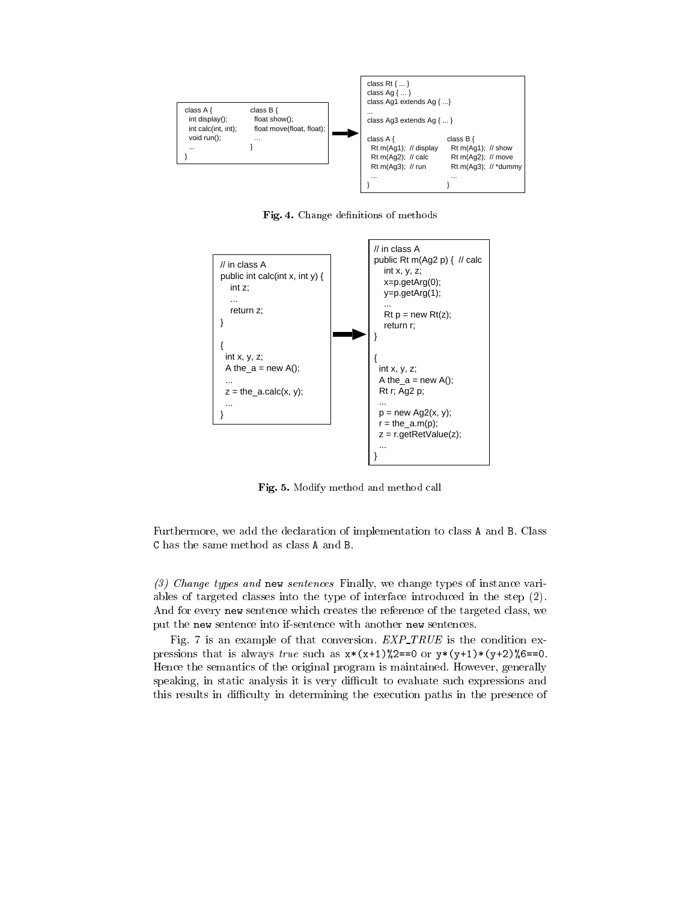

, 6

 



 $2.2$   $\mu$  . The case of the contract measure of the state of the state of the state of the state of the state of the state of the state of the state of the state of the state of the state of the state of the state of the

Furthermore, we add the declaration of implementation to class A and B. Class C has the same method as class A and B.

 $\{v_i\}$  . The state of the state of the state of the state of the state of the state of the state of the state of  $\{v_i\}$  $\mathbf{r}$  . The state of the state of the state of the state of the state of the state of the state of the state of the state of the state of the state of the state of the state of the state of the state of the state of th And for every new sentence which creates the reference of the targeted class, we -   \$ 
  

Fig. 7 is an example of that conversion.  $EXP\_TRUE$  is the condition expressions that is always *true* such as  $x*(x+1)$  2==0 or  $y*(y+1)*(y+2)$  6==0. Hence the semantics of the original program is maintained. However, generally  $\mathbb{R}^n$  . The contract of the contract of the contract of the contract of the contract of the contract of the contract of the contract of the contract of the contract of the contract of the contract of the contract of - Æ- %-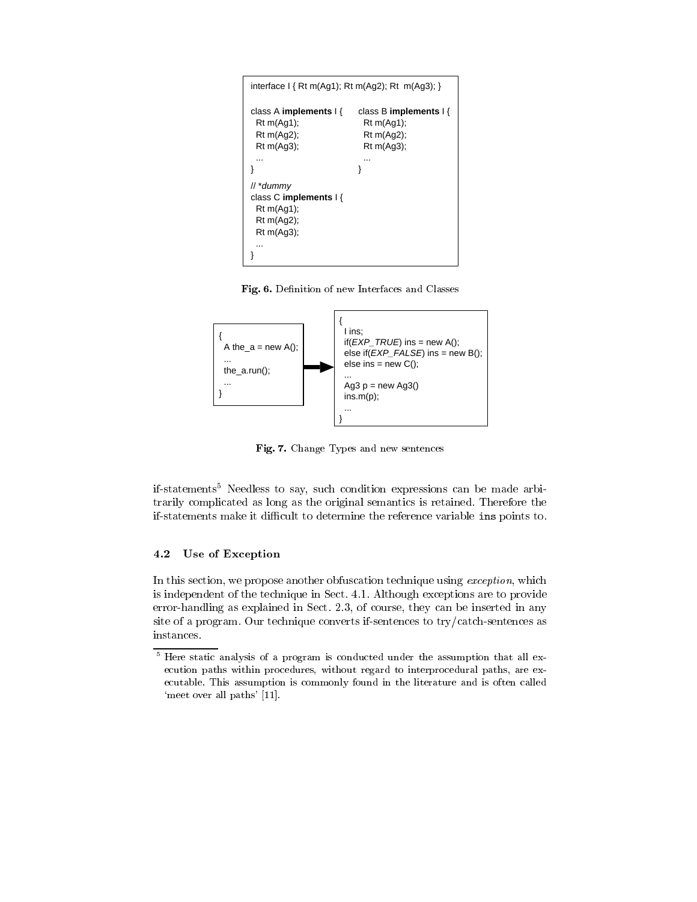| interface $I \{ Rt m(Ag1); Rt m(Ag2); Rt m(Ag3); \}$                                      |                                                                                  |  |  |  |  |  |
|-------------------------------------------------------------------------------------------|----------------------------------------------------------------------------------|--|--|--|--|--|
| class A implements $\frac{1}{3}$<br>Rt m(Ag1);<br>Rt m(Ag2);<br>$Rt$ m(Aq3);<br>          | class B implements $\frac{1}{3}$<br>Rt m(Ag1);<br>Rt m(Ag2);<br>$Rt$ m(Aq3);<br> |  |  |  |  |  |
|                                                                                           |                                                                                  |  |  |  |  |  |
| // *dummy<br>class C implements $\frac{1}{2}$<br>Rt m(Ag1);<br>Rt m(Ag2);<br>$Rt$ m(Aq3); |                                                                                  |  |  |  |  |  |

 $\blacksquare$  into the contribution of now the criteria condition contribution of  $\blacksquare$ 



, -

ii-statements" iveedless to say, such condition expressions can be made arbitrarily complicated as long as the original semantics is retained. Therefore the  $\mathbb{R}$  . The contract of the contract of the contract of the contract of the contract of the contract of the contract of the contract of the contract of the contract of the contract of the contract of the contract of th

#### 4.2 Use of Exception

 
   
  - 
(- -  

(- 60 
- %   \$
 % /5  - 
   ,- 
(-  \$  F
\$ instances.

 $^\circ$  Here static analysis of a program is conducted under the assumption that all execution paths within procedures, without regard to interprocedural paths, are ex--\$% 
 

 - 
  
  
  - 4  5 /0%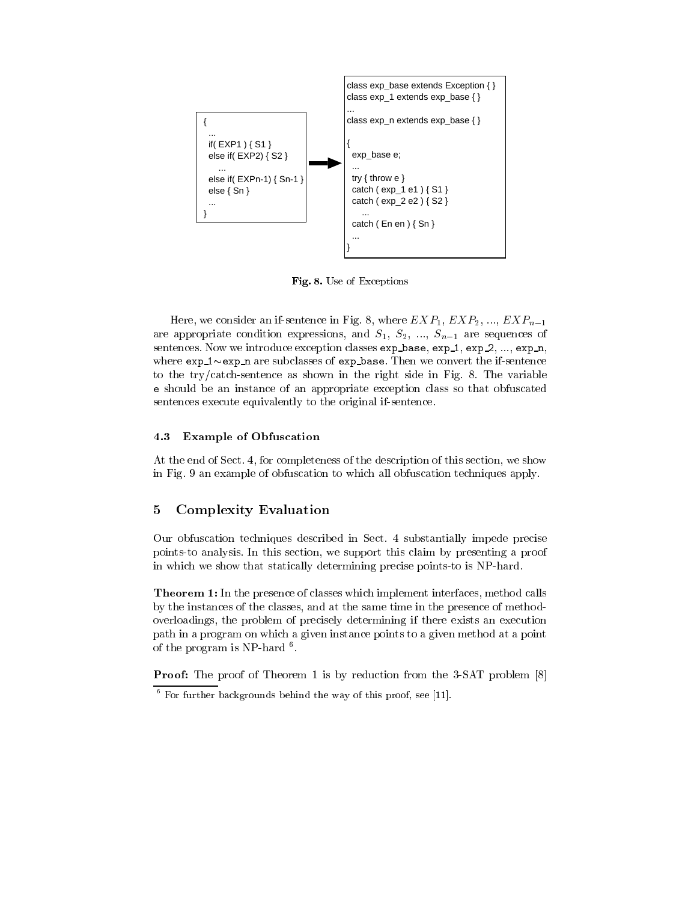

Fig. 8. Use of Exceptions

Here, we consider an if-sentence in Fig. 8, where  $EXP_1, EXP_2, ..., EXP_{n-1}$ are appropriate condition expressions, and  $S_1, S_2, ..., S_{n-1}$  are sequences of sentences. Now we introduce exception classes exp\_base, exp\_1, exp\_2, ..., exp\_n, where  $\exp_1 \sim \exp_n$  are subclasses of  $\exp_2$  base. Then we convert the if-sentence to the try/catch-sentence as shown in the right side in Fig. 8. The variable e should be an instance of an appropriate exception class so that obfuscated sentences execute equivalently to the original if-sentence.

#### **Example of Obfuscation** 4.3

At the end of Sect. 4, for completeness of the description of this section, we show in Fig. 9 an example of obfuscation to which all obfuscation techniques apply.

#### $\overline{5}$ **Complexity Evaluation**

Our obfuscation techniques described in Sect. 4 substantially impede precise points-to analysis. In this section, we support this claim by presenting a proof in which we show that statically determining precise points to is NP-hard.

Theorem 1: In the presence of classes which implement interfaces, method calls by the instances of the classes, and at the same time in the presence of methodoverloadings, the problem of precisely determining if there exists an execution path in a program on which a given instance points to a given method at a point of the program is NP-hard  $6$ .

**Proof:** The proof of Theorem 1 is by reduction from the 3-SAT problem [8]

 $6$  For further backgrounds behind the way of this proof, see [11].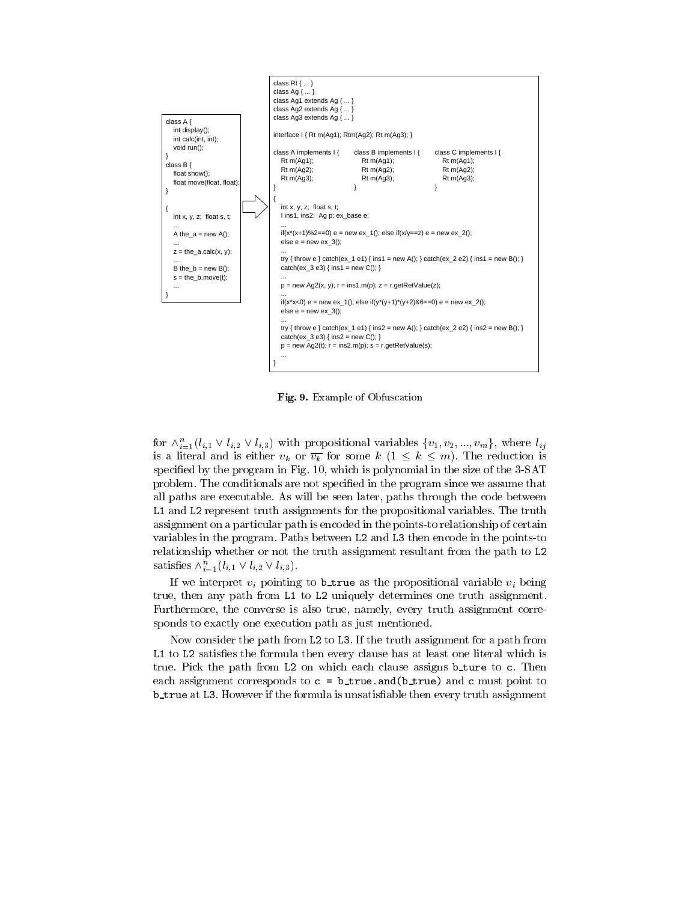

**rig. 9.** Example of Obfuscation

for  $\wedge_{i=1}^{i}$  (i<sub>i</sub>,  $\vee$  i<sub>i</sub>,  $\vee$  i<sub>i</sub>,  $\vee$ ) with propositional variables  $\{v_1, v_2, ..., v_m\}$ , where  $i_{ij}$     \*0 <sup>+</sup> "  specified by the program in Fig. 10, which is polynomial in the size of the 3-SAT  "
   ! 
  - .... primer in a contract of the second contract of the contract primer in a system in the contract of the cont \* \* -  
  "
 -  - 
  
 \$ 
  variables in the program. Paths between L2 and L3 then encode in the points-to  $\blacksquare$  . The contract of the contract of the contract of the contract of the contract of the contract of the contract of the contract of the contract of the contract of the contract of the contract of the contract of the satisfies  $\wedge_{i=1}$   $(i, 1 \vee i, 2 \vee i, 3)$ .

   - 
  - 
  \*  \* -(-  - --   - - \$   %  %- 
 - 

, and the contract of the contract of  $\mathbf{A}$  . The contract of the contract of the contract of the contract of the contract of the contract of the contract of the contract of the contract of the contract of the contract \*  \* ! 
 - 
 - 
  

 - <  \*  - -  "   \$ -  - -   - \*  
 - -! 
 -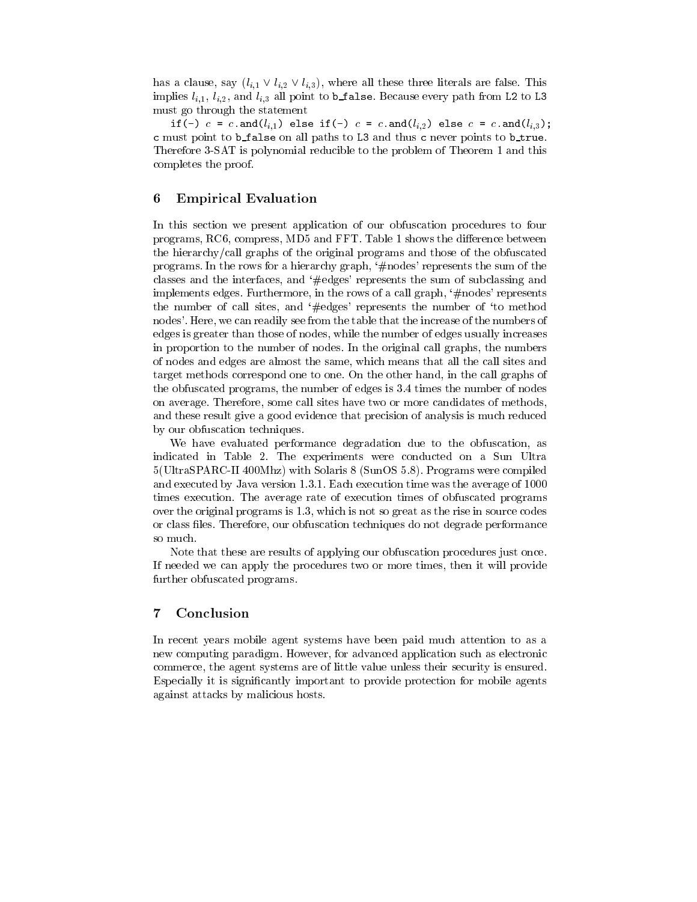has a clause, say  $(l_{i,1} \vee l_{i,2} \vee l_{i,3})$ , where all these three literals are false. This implies  $l_{i,1}, l_{i,2}$ , and  $l_{i,3}$  all point to b\_false. Because every path from L2 to L3 must go through the statement

if (-)  $c = c$ .and  $(l_{i,1})$  else if (-)  $c = c$ .and  $(l_{i,2})$  else  $c = c$ .and  $(l_{i,3})$ ; c must point to b\_false on all paths to L3 and thus c never points to b\_true. Therefore 3-SAT is polynomial reducible to the problem of Theorem 1 and this completes the proof.

#### 6 **Empirical Evaluation**

In this section we present application of our obfuscation procedures to four programs, RC6, compress, MD5 and FFT. Table 1 shows the difference between the hierarchy/call graphs of the original programs and those of the obfuscated programs. In the rows for a hierarchy graph, '#nodes' represents the sum of the classes and the interfaces, and '#edges' represents the sum of subclassing and implements edges. Furthermore, in the rows of a call graph, '#nodes' represents the number of call sites, and '#edges' represents the number of 'to method nodes'. Here, we can readily see from the table that the increase of the numbers of edges is greater than those of nodes, while the number of edges usually increases in proportion to the number of nodes. In the original call graphs, the numbers of nodes and edges are almost the same, which means that all the call sites and target methods correspond one to one. On the other hand, in the call graphs of the obfuscated programs, the number of edges is 3.4 times the number of nodes on average. Therefore, some call sites have two or more candidates of methods. and these result give a good evidence that precision of analysis is much reduced by our obfuscation techniques.

We have evaluated performance degradation due to the obfuscation, as indicated in Table 2. The experiments were conducted on a Sun Ultra 5(UltraSPARC-II 400Mhz) with Solaris 8 (SunOS 5.8). Programs were compiled and executed by Java version 1.3.1. Each execution time was the average of 1000 times execution. The average rate of execution times of obfuscated programs over the original programs is 1.3, which is not so great as the rise in source codes or class files. Therefore, our obfuscation techniques do not degrade performance so much.

Note that these are results of applying our obfuscation procedures just once. If needed we can apply the procedures two or more times, then it will provide further obfuscated programs.

#### $\overline{7}$ Conclusion

In recent years mobile agent systems have been paid much attention to as a new computing paradigm. However, for advanced application such as electronic commerce, the agent systems are of little value unless their security is ensured. Especially it is significantly important to provide protection for mobile agents against attacks by malicious hosts.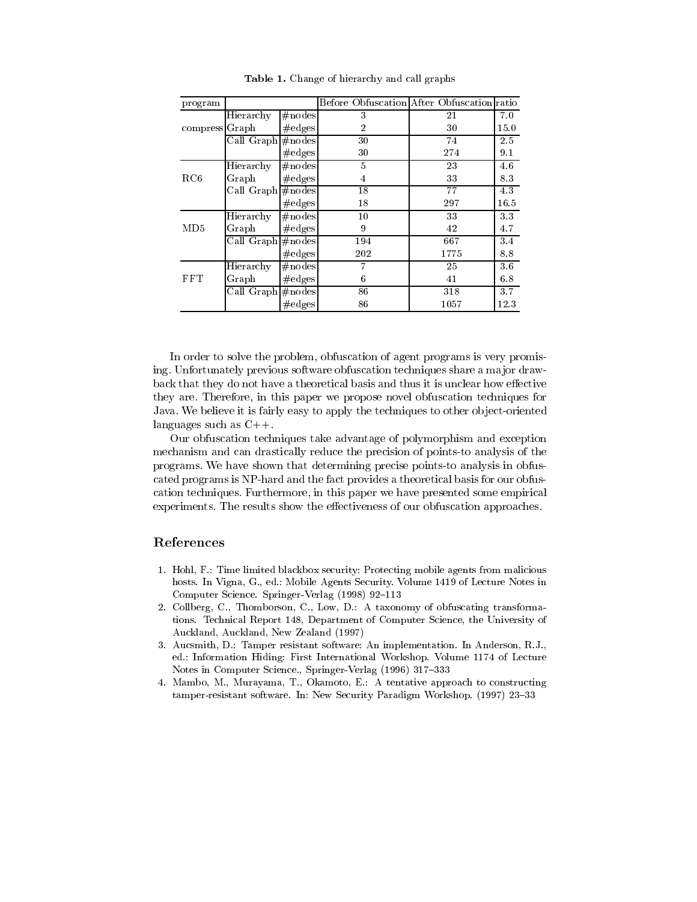| program        |                                |                  | Before Obfuscation After Obfuscation ratio |      |      |
|----------------|--------------------------------|------------------|--------------------------------------------|------|------|
|                | Hierarchy                      | $\#nodes$        | 3                                          | 21   | 7.0  |
| compress Graph |                                | $\#\text{edges}$ | $\overline{2}$                             | 30   | 15.0 |
|                | Call Graph                     | #nodes           | 30                                         | 74   | 2.5  |
|                |                                | $\#\text{edges}$ | 30                                         | 274  | 9.1  |
|                | Hierarchy                      | $\#$ nodes       | 5                                          | 23   | 4.6  |
| RC6            | Graph                          | $\#\text{edges}$ | $\overline{4}$                             | 33   | 8.3  |
|                | Call Graph #nodes              |                  | 18                                         | 77   | 4.3  |
|                |                                | $\#\text{edges}$ | 18                                         | 297  | 16.5 |
| MD5            | Hierarchy                      | $\#$ nodes       | $10\,$                                     | 33   | 3.3  |
|                | Graph                          | $\#\text{edges}$ | 9                                          | 42   | 4.7  |
|                | $\overline{\text{Call Graph}}$ | #nodes           | 194                                        | 667  | 3.4  |
|                |                                | $\#\text{edges}$ | 202                                        | 1775 | 8.8  |
| FFT            | Hierarchy                      | #nodes           | 7                                          | 25   | 3.6  |
|                | Graph                          | $\#\text{edges}$ | 6                                          | 41   | 6.8  |
|                | Call Graph #nodes              |                  | 86                                         | 318  | 3.7  |
|                |                                | $\#\text{edges}$ | 86                                         | 1057 | 12.3 |

Table 1. Change of hierarchy and call graphs

In order to solve the problem, obfuscation of agent programs is very promising. Unfortunately previous software obfuscation techniques share a major drawback that they do not have a theoretical basis and thus it is unclear how effective they are. Therefore, in this paper we propose novel obfuscation techniques for Java. We believe it is fairly easy to apply the techniques to other object-oriented languages such as  $C++$ .

Our obfuscation techniques take advantage of polymorphism and exception mechanism and can drastically reduce the precision of points-to analysis of the programs. We have shown that determining precise points-to analysis in obfuscated programs is NP-hard and the fact provides a theoretical basis for our obfuscation techniques. Furthermore, in this paper we have presented some empirical experiments. The results show the effectiveness of our obfuscation approaches.

### References

- 1. Hohl, F.: Time limited blackbox security: Protecting mobile agents from malicious hosts. In Vigna, G., ed.: Mobile Agents Security. Volume 1419 of Lecture Notes in Computer Science. Springer-Verlag (1998) 92-113
- 2. Collberg, C., Thomborson, C., Low, D.: A taxonomy of obfuscating transformations. Technical Report 148, Department of Computer Science, the University of Auckland, Auckland, New Zealand (1997)
- 3. Aucsmith, D.: Tamper resistant software: An implementation. In Anderson, R.J., ed.: Information Hiding: First International Workshop. Volume 1174 of Lecture Notes in Computer Science., Springer-Verlag (1996) 317-333
- 4. Mambo, M., Murayama, T., Okamoto, E.: A tentative approach to constructing tamper-resistant software. In: New Security Paradigm Workshop. (1997) 23-33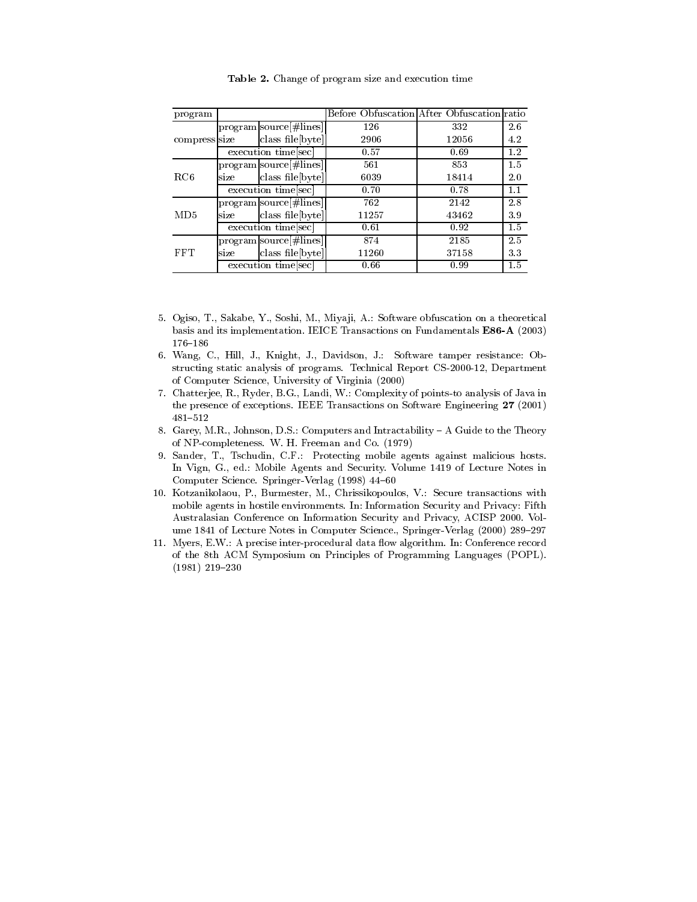| program       |                     |                             | Before Obfuscation After Obfuscation ratio |       |     |
|---------------|---------------------|-----------------------------|--------------------------------------------|-------|-----|
| compress size |                     | program source # lines      | 126                                        | 332   | 2.6 |
|               |                     | class file[byte]            | 2906                                       | 12056 | 4.2 |
|               | execution time[sec] |                             | 0.57                                       | 0.69  | 1.2 |
| RC6           |                     | $program source  \# lines $ | 561                                        | 853   | 1.5 |
|               | size                | class file[byte]            | 6039                                       | 18414 | 2.0 |
|               | execution time[sec] |                             | 0.70                                       | 0.78  | 1.1 |
| MD5           |                     | $program source  \# lines $ | 762                                        | 2142  | 2.8 |
|               | size                | class file[byte]            | 11257                                      | 43462 | 3.9 |
|               | execution time[sec] |                             | 0.61                                       | 0.92  | 1.5 |
| FFT           |                     | $program source  \# lines $ | 874                                        | 2185  | 2.5 |
|               | size                | class file[byte]            | 11260                                      | 37158 | 3.3 |
|               |                     | execution time[sec]         | 0.66                                       | 0.99  | 1.5 |

Table 2. Change of program size and execution time

- 5. Ogiso, T., Sakabe, Y., Soshi, M., Miyaji, A.: Software obfuscation on a theoretical basis and its implementation. IEICE Transactions on Fundamentals E86-A (2003)  $176 - 186$
- 6. Wang, C., Hill, J., Knight, J., Davidson, J.: Software tamper resistance: Obstructing static analysis of programs. Technical Report CS-2000-12, Department of Computer Science, University of Virginia (2000)
- 7. Chatterjee, R., Ryder, B.G., Landi, W.: Complexity of points to analysis of Java in the presence of exceptions. IEEE Transactions on Software Engineering 27 (2001)  $481 - 512$
- 8. Garey, M.R., Johnson, D.S.: Computers and Intractability A Guide to the Theory of NP-completeness. W. H. Freeman and Co. (1979)
- 9. Sander, T., Tschudin, C.F.: Protecting mobile agents against malicious hosts. In Vign, G., ed.: Mobile Agents and Security. Volume 1419 of Lecture Notes in Computer Science. Springer-Verlag (1998) 44-60
- 10. Kotzanikolaou, P., Burmester, M., Chrissikopoulos, V.: Secure transactions with mobile agents in hostile environments. In: Information Security and Privacy: Fifth Australasian Conference on Information Security and Privacy, ACISP 2000. Volume 1841 of Lecture Notes in Computer Science., Springer-Verlag (2000) 289-297
- 11. Myers, E.W.: A precise inter-procedural data flow algorithm. In: Conference record of the 8th ACM Symposium on Principles of Programming Languages (POPL).  $(1981)$  219-230